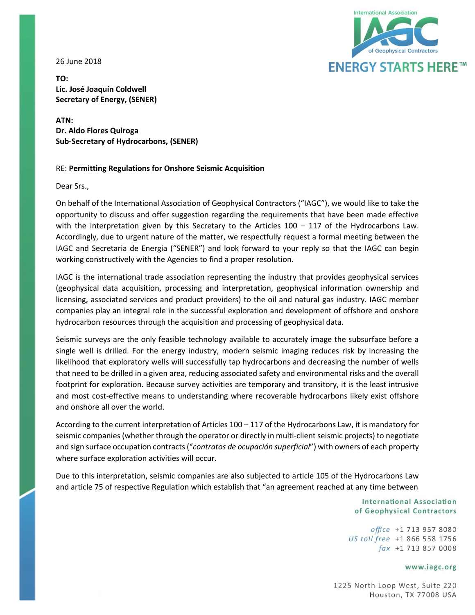26 June 2018



**TO: Lic. José Joaquín Coldwell Secretary of Energy, (SENER)**

**ATN: Dr. Aldo Flores Quiroga Sub-Secretary of Hydrocarbons, (SENER)**

# RE: **Permitting Regulations for Onshore Seismic Acquisition**

Dear Srs.,

On behalf of the International Association of Geophysical Contractors ("IAGC"), we would like to take the opportunity to discuss and offer suggestion regarding the requirements that have been made effective with the interpretation given by this Secretary to the Articles  $100 - 117$  of the Hydrocarbons Law. Accordingly, due to urgent nature of the matter, we respectfully request a formal meeting between the IAGC and Secretaria de Energia ("SENER") and look forward to your reply so that the IAGC can begin working constructively with the Agencies to find a proper resolution.

IAGC is the international trade association representing the industry that provides geophysical services (geophysical data acquisition, processing and interpretation, geophysical information ownership and licensing, associated services and product providers) to the oil and natural gas industry. IAGC member companies play an integral role in the successful exploration and development of offshore and onshore hydrocarbon resources through the acquisition and processing of geophysical data.

Seismic surveys are the only feasible technology available to accurately image the subsurface before a single well is drilled. For the energy industry, modern seismic imaging reduces risk by increasing the likelihood that exploratory wells will successfully tap hydrocarbons and decreasing the number of wells that need to be drilled in a given area, reducing associated safety and environmental risks and the overall footprint for exploration. Because survey activities are temporary and transitory, it is the least intrusive and most cost-effective means to understanding where recoverable hydrocarbons likely exist offshore and onshore all over the world.

According to the current interpretation of Articles 100 – 117 of the Hydrocarbons Law, it is mandatory for seismic companies (whether through the operator or directly in multi-client seismic projects) to negotiate and sign surface occupation contracts ("*contratos de ocupación superficial*") with owners of each property where surface exploration activities will occur.

Due to this interpretation, seismic companies are also subjected to article 105 of the Hydrocarbons Law and article 75 of respective Regulation which establish that "an agreement reached at any time between

> **International Association** of Geophysical Contractors

office +1 713 957 8080 US toll free +1 866 558 1756  $\int ax +1$  713 857 0008

### www.iagc.org

1225 North Loop West, Suite 220 Houston, TX 77008 USA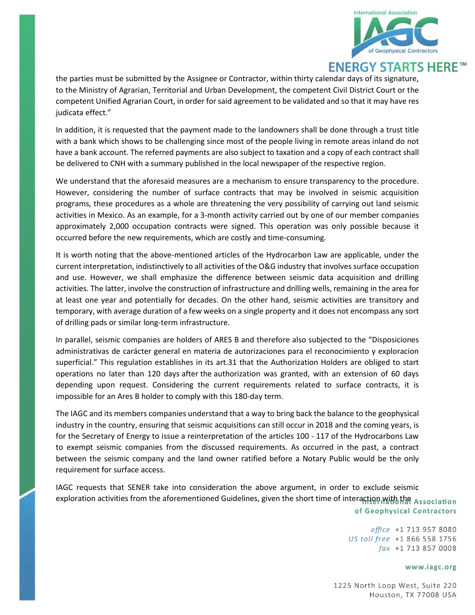

the parties must be submitted by the Assignee or Contractor, within thirty calendar days of its signature, to the Ministry of Agrarian, Territorial and Urban Development, the competent Civil District Court or the competent Unified Agrarian Court, in order for said agreement to be validated and so that it may have res judicata effect."

In addition, it is requested that the payment made to the landowners shall be done through a trust title with a bank which shows to be challenging since most of the people living in remote areas inland do not have a bank account. The referred payments are also subject to taxation and a copy of each contract shall be delivered to CNH with a summary published in the local newspaper of the respective region.

We understand that the aforesaid measures are a mechanism to ensure transparency to the procedure. However, considering the number of surface contracts that may be involved in seismic acquisition programs, these procedures as a whole are threatening the very possibility of carrying out land seismic activities in Mexico. As an example, for a 3-month activity carried out by one of our member companies approximately 2,000 occupation contracts were signed. This operation was only possible because it occurred before the new requirements, which are costly and time-consuming.

It is worth noting that the above-mentioned articles of the Hydrocarbon Law are applicable, under the current interpretation, indistinctively to all activities of the O&G industry that involves surface occupation and use. However, we shall emphasize the difference between seismic data acquisition and drilling activities. The latter, involve the construction of infrastructure and drilling wells, remaining in the area for at least one year and potentially for decades. On the other hand, seismic activities are transitory and temporary, with average duration of a few weeks on a single property and it does not encompass any sort of drilling pads or similar long-term infrastructure.

In parallel, seismic companies are holders of ARES B and therefore also subjected to the "Disposiciones administrativas de carácter general en materia de autorizaciones para el reconocimiento y exploracion superficial." This regulation establishes in its art.31 that the Authorization Holders are obliged to start operations no later than 120 days after the authorization was granted, with an extension of 60 days depending upon request. Considering the current requirements related to surface contracts, it is impossible for an Ares B holder to comply with this 180-day term.

The IAGC and its members companies understand that a way to bring back the balance to the geophysical industry in the country, ensuring that seismic acquisitions can still occur in 2018 and the coming years, is for the Secretary of Energy to issue a reinterpretation of the articles 100 - 117 of the Hydrocarbons Law to exempt seismic companies from the discussed requirements. As occurred in the past, a contract between the seismic company and the land owner ratified before a Notary Public would be the only requirement for surface access.

IAGC requests that SENER take into consideration the above argument, in order to exclude seismic exploration activities from the aforementioned Guidelines, given the short time of interaction with the Association of Geophysical Contractors

> office +1 713 957 8080 US toll free +1 866 558 1756  $\int ax +1$  713 857 0008

### www.iagc.org

1225 North Loop West, Suite 220 Houston, TX 77008 USA